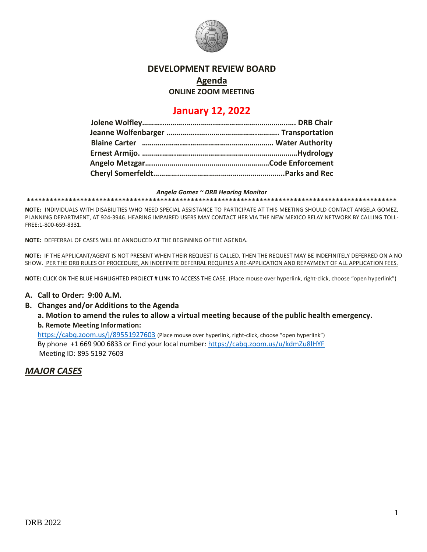

### **DEVELOPMENT REVIEW BOARD**

# **Agenda**

**ONLINE ZOOM MEETING**

# **January 12, 2022**

#### *Angela Gomez ~ DRB Hearing Monitor*

**\*\*\*\*\*\*\*\*\*\*\*\*\*\*\*\*\*\*\*\*\*\*\*\*\*\*\*\*\*\*\*\*\*\*\*\*\*\*\*\*\*\*\*\*\*\*\*\*\*\*\*\*\*\*\*\*\*\*\*\*\*\*\*\*\*\*\*\*\*\*\*\*\*\*\*\*\*\*\*\*\*\*\*\*\*\*\*\*\*\*\*\*\*\*\*\*\***

**NOTE:** INDIVIDUALS WITH DISABILITIES WHO NEED SPECIAL ASSISTANCE TO PARTICIPATE AT THIS MEETING SHOULD CONTACT ANGELA GOMEZ, PLANNING DEPARTMENT, AT 924-3946. HEARING IMPAIRED USERS MAY CONTACT HER VIA THE NEW MEXICO RELAY NETWORK BY CALLING TOLL-FREE:1-800-659-8331.

**NOTE:** DEFFERRAL OF CASES WILL BE ANNOUCED AT THE BEGINNING OF THE AGENDA.

**NOTE:** IF THE APPLICANT/AGENT IS NOT PRESENT WHEN THEIR REQUEST IS CALLED, THEN THE REQUEST MAY BE INDEFINITELY DEFERRED ON A NO SHOW. PER THE DRB RULES OF PROCEDURE, AN INDEFINITE DEFERRAL REQUIRES A RE-APPLICATION AND REPAYMENT OF ALL APPLICATION FEES.

**NOTE:** CLICK ON THE BLUE HIGHLIGHTED PROJECT # LINK TO ACCESS THE CASE. (Place mouse over hyperlink, right-click, choose "open hyperlink")

#### **A. Call to Order: 9:00 A.M.**

**B. Changes and/or Additions to the Agenda**

**a. Motion to amend the rules to allow a virtual meeting because of the public health emergency. b. Remote Meeting Information:** 

<https://cabq.zoom.us/j/89551927603> (Place mouse over hyperlink, right-click, choose "open hyperlink") By phone +1 669 900 6833 or Find your local number[: https://cabq.zoom.us/u/kdmZu8lHYF](https://cabq.zoom.us/u/kdmZu8lHYF) Meeting ID: 895 5192 7603

*MAJOR CASES*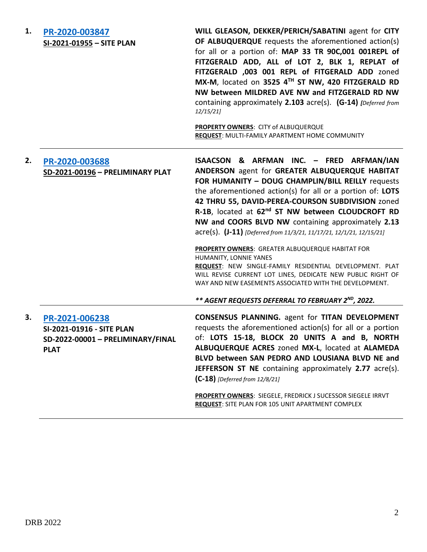| 1. | PR-2020-003847<br>SI-2021-01955 - SITE PLAN                                                     | WILL GLEASON, DEKKER/PERICH/SABATINI agent for CITY<br>OF ALBUQUERQUE requests the aforementioned action(s)<br>for all or a portion of: MAP 33 TR 90C,001 001REPL of<br>FITZGERALD ADD, ALL of LOT 2, BLK 1, REPLAT of<br>FITZGERALD ,003 001 REPL of FITGERALD ADD zoned<br>MX-M, located on 3525 4TH ST NW, 420 FITZGERALD RD<br>NW between MILDRED AVE NW and FITZGERALD RD NW<br>containing approximately 2.103 acre(s). (G-14) [Deferred from<br>12/15/21<br>PROPERTY OWNERS: CITY of ALBUQUERQUE<br><b>REQUEST: MULTI-FAMILY APARTMENT HOME COMMUNITY</b>                                                                                                                                                                                                                                       |
|----|-------------------------------------------------------------------------------------------------|-------------------------------------------------------------------------------------------------------------------------------------------------------------------------------------------------------------------------------------------------------------------------------------------------------------------------------------------------------------------------------------------------------------------------------------------------------------------------------------------------------------------------------------------------------------------------------------------------------------------------------------------------------------------------------------------------------------------------------------------------------------------------------------------------------|
| 2. | PR-2020-003688<br>SD-2021-00196 - PRELIMINARY PLAT                                              | ISAACSON & ARFMAN INC. - FRED ARFMAN/IAN<br>ANDERSON agent for GREATER ALBUQUERQUE HABITAT<br>FOR HUMANITY - DOUG CHAMPLIN/BILL REILLY requests<br>the aforementioned action(s) for all or a portion of: LOTS<br>42 THRU 55, DAVID-PEREA-COURSON SUBDIVISION zoned<br>R-1B, located at 62 <sup>nd</sup> ST NW between CLOUDCROFT RD<br>NW and COORS BLVD NW containing approximately 2.13<br>$\text{acre}(s)$ . $(J-11)$ [Deferred from 11/3/21, 11/17/21, 12/1/21, 12/15/21]<br>PROPERTY OWNERS: GREATER ALBUQUERQUE HABITAT FOR<br>HUMANITY, LONNIE YANES<br>REQUEST: NEW SINGLE-FAMILY RESIDENTIAL DEVELOPMENT. PLAT<br>WILL REVISE CURRENT LOT LINES, DEDICATE NEW PUBLIC RIGHT OF<br>WAY AND NEW EASEMENTS ASSOCIATED WITH THE DEVELOPMENT.<br>** AGENT REQUESTS DEFERRAL TO FEBRUARY 2ND, 2022. |
| З. | PR-2021-006238<br>SI-2021-01916 - SITE PLAN<br>SD-2022-00001 - PRELIMINARY/FINAL<br><b>PLAT</b> | <b>CONSENSUS PLANNING.</b> agent for TITAN DEVELOPMENT<br>requests the aforementioned action(s) for all or a portion<br>of: LOTS 15-18, BLOCK 20 UNITS A and B, NORTH<br>ALBUQUERQUE ACRES zoned MX-L, located at ALAMEDA<br>BLVD between SAN PEDRO AND LOUSIANA BLVD NE and<br><b>JEFFERSON ST NE</b> containing approximately 2.77 acre(s).<br>$(C-18)$ [Deferred from 12/8/21]<br>PROPERTY OWNERS: SIEGELE, FREDRICK J SUCESSOR SIEGELE IRRVT<br><b>REQUEST:</b> SITE PLAN FOR 105 UNIT APARTMENT COMPLEX                                                                                                                                                                                                                                                                                          |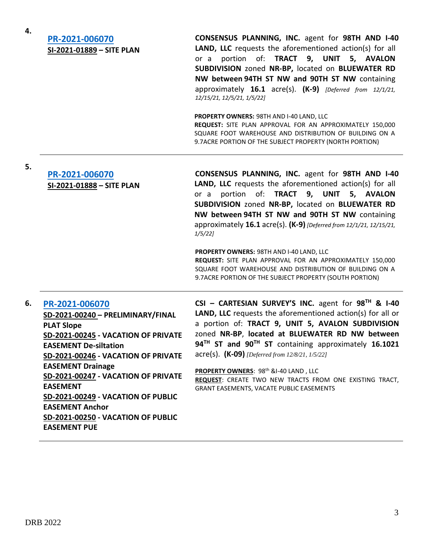**4.**

**5.**

# **[PR-2021-006070](http://data.cabq.gov/government/planning/DRB/PR-2021-006070/DRB%20Submittals/) SI-2021-01889 – SITE PLAN**

**CONSENSUS PLANNING, INC.** agent for **98TH AND I-40 LAND, LLC** requests the aforementioned action(s) for all or a portion of: **TRACT 9, UNIT 5, AVALON SUBDIVISION** zoned **NR-BP,** located on **BLUEWATER RD NW between 94TH ST NW and 90TH ST NW** containing approximately **16.1** acre(s). **(K-9)** *[Deferred from 12/1/21, 12/15/21, 12/5/21, 1/5/22]*

**PROPERTY OWNERS:** 98TH AND I-40 LAND, LLC **REQUEST:** SITE PLAN APPROVAL FOR AN APPROXIMATELY 150,000 SQUARE FOOT WAREHOUSE AND DISTRIBUTION OF BUILDING ON A 9.7ACRE PORTION OF THE SUBJECT PROPERTY (NORTH PORTION)

## **[PR-2021-006070](http://data.cabq.gov/government/planning/DRB/PR-2021-006070/DRB%20Submittals/) SI-2021-01888 – SITE PLAN**

**CONSENSUS PLANNING, INC.** agent for **98TH AND I-40 LAND, LLC** requests the aforementioned action(s) for all or a portion of: **TRACT 9, UNIT 5, AVALON SUBDIVISION** zoned **NR-BP,** located on **BLUEWATER RD NW between 94TH ST NW and 90TH ST NW** containing approximately **16.1** acre(s). **(K-9)** *[Deferred from 12/1/21, 12/15/21, 1/5/22]*

**PROPERTY OWNERS:** 98TH AND I-40 LAND, LLC **REQUEST:** SITE PLAN APPROVAL FOR AN APPROXIMATELY 150,000 SQUARE FOOT WAREHOUSE AND DISTRIBUTION OF BUILDING ON A 9.7ACRE PORTION OF THE SUBJECT PROPERTY (SOUTH PORTION)

#### **6. [PR-2021-006070](http://data.cabq.gov/government/planning/DRB/PR-2021-006070/DRB%20Submittals/)**

**SD-2021-00240 – PRELIMINARY/FINAL PLAT Slope SD-2021-00245 - VACATION OF PRIVATE EASEMENT De-siltation SD-2021-00246 - VACATION OF PRIVATE EASEMENT Drainage SD-2021-00247 - VACATION OF PRIVATE EASEMENT SD-2021-00249 - VACATION OF PUBLIC EASEMENT Anchor SD-2021-00250 - VACATION OF PUBLIC EASEMENT PUE**

**CSI – CARTESIAN SURVEY'S INC.** agent for **98TH & I-40 LAND, LLC** requests the aforementioned action(s) for all or a portion of: **TRACT 9, UNIT 5, AVALON SUBDIVISION**  zoned **NR-BP**, **located at BLUEWATER RD NW between 94TH ST and 90TH ST** containing approximately **16.1021** acre(s). **(K-09)** *[Deferred from 12/8/21, 1/5/22]*

PROPERTY OWNERS: 98<sup>th</sup> &I-40 LAND, LLC **REQUEST**: CREATE TWO NEW TRACTS FROM ONE EXISTING TRACT, GRANT EASEMENTS, VACATE PUBLIC EASEMENTS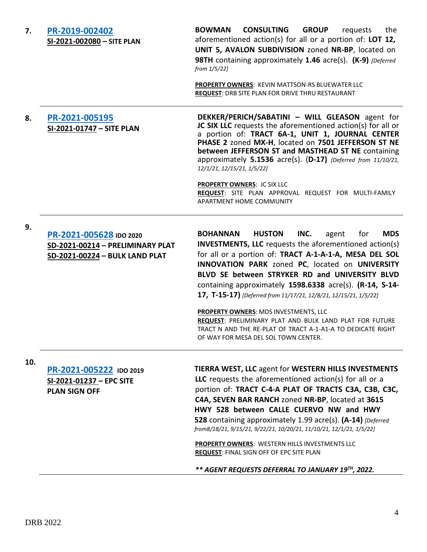| 7.  | PR-2019-002402<br>SI-2021-002080 - SITE PLAN                                                  | <b>CONSULTING</b><br><b>BOWMAN</b><br><b>GROUP</b><br>the<br>requests<br>aforementioned action(s) for all or a portion of: LOT 12,<br>UNIT 5, AVALON SUBDIVISION zoned NR-BP, located on<br>98TH containing approximately 1.46 acre(s). (K-9) [Deferred<br>from 1/5/22]<br><b>PROPERTY OWNERS: KEVIN MATTSON-RS BLUEWATER LLC</b><br>REQUEST: DRB SITE PLAN FOR DRIVE THRU RESTAURANT                                                                                                                                                                                                                                                                    |
|-----|-----------------------------------------------------------------------------------------------|----------------------------------------------------------------------------------------------------------------------------------------------------------------------------------------------------------------------------------------------------------------------------------------------------------------------------------------------------------------------------------------------------------------------------------------------------------------------------------------------------------------------------------------------------------------------------------------------------------------------------------------------------------|
| 8.  | PR-2021-005195<br>SI-2021-01747 - SITE PLAN                                                   | DEKKER/PERICH/SABATINI - WILL GLEASON agent for<br>JC SIX LLC requests the aforementioned action(s) for all or<br>a portion of: TRACT 6A-1, UNIT 1, JOURNAL CENTER<br>PHASE 2 zoned MX-H, located on 7501 JEFFERSON ST NE<br>between JEFFERSON ST and MASTHEAD ST NE containing<br>approximately $5.1536$ acre(s). (D-17) [Deferred from $11/10/21$ ,<br>12/1/21, 12/15/21, 1/5/22]<br><b>PROPERTY OWNERS: JC SIX LLC</b><br>REQUEST: SITE PLAN APPROVAL REQUEST FOR MULTI-FAMILY<br>APARTMENT HOME COMMUNITY                                                                                                                                            |
| 9.  | PR-2021-005628 IDO 2020<br>SD-2021-00214 - PRELIMINARY PLAT<br>SD-2021-00224 - BULK LAND PLAT | <b>MDS</b><br><b>BOHANNAN</b><br><b>HUSTON</b><br>INC.<br>for<br>agent<br><b>INVESTMENTS, LLC</b> requests the aforementioned action(s)<br>for all or a portion of: TRACT A-1-A-1-A, MESA DEL SOL<br>INNOVATION PARK zoned PC, located on UNIVERSITY<br>BLVD SE between STRYKER RD and UNIVERSITY BLVD<br>containing approximately 1598.6338 acre(s). (R-14, S-14-<br>17, T-15-17) [Deferred from 11/17/21, 12/8/21, 12/15/21, 1/5/22]<br><b>PROPERTY OWNERS: MDS INVESTMENTS, LLC</b><br>REQUEST: PRELIMINARY PLAT AND BULK LAND PLAT FOR FUTURE<br>TRACT N AND THE RE-PLAT OF TRACT A-1-A1-A TO DEDICATE RIGHT<br>OF WAY FOR MESA DEL SOL TOWN CENTER. |
| 10. | PR-2021-005222 IDO 2019<br>SI-2021-01237 - EPC SITE<br><b>PLAN SIGN OFF</b>                   | <b>TIERRA WEST, LLC agent for WESTERN HILLS INVESTMENTS</b><br>LLC requests the aforementioned action(s) for all or a<br>portion of: TRACT C-4-A PLAT OF TRACTS C3A, C3B, C3C,<br>C4A, SEVEN BAR RANCH zoned NR-BP, located at 3615<br>HWY 528 between CALLE CUERVO NW and HWY<br>528 containing approximately 1.99 acre(s). (A-14) [Deferred]<br>from8/18/21, 9/15/21, 9/22/21, 10/20/21, 11/10/21, 12/1/21, 1/5/22]<br>PROPERTY OWNERS: WESTERN HILLS INVESTMENTS LLC<br>REQUEST: FINAL SIGN OFF OF EPC SITE PLAN<br>** AGENT REQUESTS DEFERRAL TO JANUARY 19TH, 2022.                                                                                 |
|     |                                                                                               |                                                                                                                                                                                                                                                                                                                                                                                                                                                                                                                                                                                                                                                          |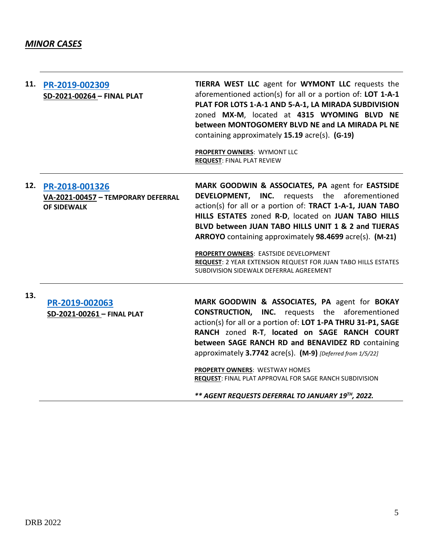| 11. | PR-2019-002309<br>SD-2021-00264 - FINAL PLAT                               | TIERRA WEST LLC agent for WYMONT LLC requests the<br>aforementioned action(s) for all or a portion of: LOT 1-A-1<br>PLAT FOR LOTS 1-A-1 AND 5-A-1, LA MIRADA SUBDIVISION<br>zoned MX-M, located at 4315 WYOMING BLVD NE<br>between MONTOGOMERY BLVD NE and LA MIRADA PL NE<br>containing approximately 15.19 acre(s). (G-19)<br><b>PROPERTY OWNERS: WYMONT LLC</b><br><b>REQUEST: FINAL PLAT REVIEW</b>                                                                                                    |
|-----|----------------------------------------------------------------------------|------------------------------------------------------------------------------------------------------------------------------------------------------------------------------------------------------------------------------------------------------------------------------------------------------------------------------------------------------------------------------------------------------------------------------------------------------------------------------------------------------------|
| 12. | PR-2018-001326<br>VA-2021-00457 - TEMPORARY DEFERRAL<br><b>OF SIDEWALK</b> | MARK GOODWIN & ASSOCIATES, PA agent for EASTSIDE<br><b>DEVELOPMENT, INC.</b> requests the aforementioned<br>action(s) for all or a portion of: TRACT 1-A-1, JUAN TABO<br>HILLS ESTATES zoned R-D, located on JUAN TABO HILLS<br>BLVD between JUAN TABO HILLS UNIT 1 & 2 and TIJERAS<br>ARROYO containing approximately 98.4699 acre(s). (M-21)<br>PROPERTY OWNERS: EASTSIDE DEVELOPMENT<br><b>REQUEST: 2 YEAR EXTENSION REQUEST FOR JUAN TABO HILLS ESTATES</b><br>SUBDIVISION SIDEWALK DEFERRAL AGREEMENT |
| 13. | PR-2019-002063<br>SD-2021-00261 - FINAL PLAT                               | MARK GOODWIN & ASSOCIATES, PA agent for BOKAY<br><b>CONSTRUCTION, INC.</b> requests the aforementioned<br>action(s) for all or a portion of: LOT 1-PA THRU 31-P1, SAGE<br>RANCH zoned R-T, located on SAGE RANCH COURT<br>between SAGE RANCH RD and BENAVIDEZ RD containing<br>approximately 3.7742 acre(s). (M-9) [Deferred from 1/5/22]<br><b>PROPERTY OWNERS: WESTWAY HOMES</b><br>REQUEST: FINAL PLAT APPROVAL FOR SAGE RANCH SUBDIVISION<br>** AGENT REQUESTS DEFERRAL TO JANUARY 19TH, 2022.         |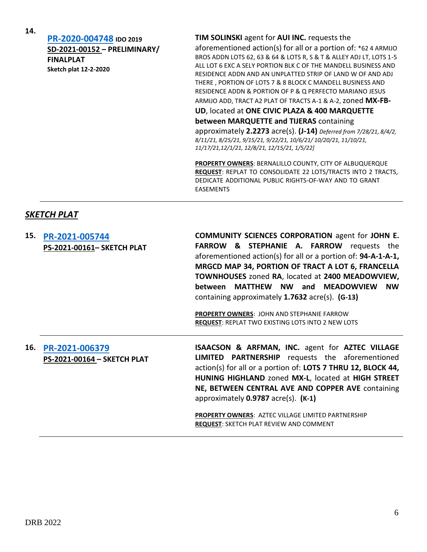**[PR-2020-004748](http://data.cabq.gov/government/planning/DRB/PR-2020-004748/DRB%20Submittals/) IDO 2019 SD-2021-00152 – PRELIMINARY/ FINALPLAT Sketch plat 12-2-2020**

#### **TIM SOLINSKI** agent for **AUI INC.** requests the

aforementioned action(s) for all or a portion of: \*62 4 ARMIJO BROS ADDN LOTS 62, 63 & 64 & LOTS R, S & T & ALLEY ADJ LT, LOTS 1-5 ALL LOT 6 EXC A SELY PORTION BLK C OF THE MANDELL BUSINESS AND RESIDENCE ADDN AND AN UNPLATTED STRIP OF LAND W OF AND ADJ THERE , PORTION OF LOTS 7 & 8 BLOCK C MANDELL BUSINESS AND RESIDENCE ADDN & PORTION OF P & Q PERFECTO MARIANO JESUS

ARMIJO ADD, TRACT A2 PLAT OF TRACTS A-1 & A-2, zoned **MX-FB-**

**UD**, located at **ONE CIVIC PLAZA & 400 MARQUETTE** 

**between MARQUETTE and TIJERAS** containing

approximately **2.2273** acre(s). **(J-14)** *Deferred from 7/28/21, 8/4/2, 8/11/21, 8/25/21, 9/15/21, 9/22/21, 10/6/21/ 10/20/21, 11/10/21, 11/17/21,12/1/21, 12/8/21, 12/15/21, 1/5/22]*

**PROPERTY OWNERS**: BERNALILLO COUNTY, CITY OF ALBUQUERQUE **REQUEST**: REPLAT TO CONSOLIDATE 22 LOTS/TRACTS INTO 2 TRACTS, DEDICATE ADDITIONAL PUBLIC RIGHTS-OF-WAY AND TO GRANT EASEMENTS

### *SKETCH PLAT*

| 15. | PR-2021-005744<br>PS-2021-00161- SKETCH PLAT  | <b>COMMUNITY SCIENCES CORPORATION agent for JOHN E.</b><br><b>FARROW &amp; STEPHANIE A. FARROW</b> requests the<br>aforementioned action(s) for all or a portion of: 94-A-1-A-1,<br>MRGCD MAP 34, PORTION OF TRACT A LOT 6, FRANCELLA<br><b>TOWNHOUSES</b> zoned RA, located at 2400 MEADOWVIEW,<br>between MATTHEW NW and MEADOWVIEW<br><b>NW</b><br>containing approximately $1.7632$ acre(s). (G-13)<br><b>PROPERTY OWNERS: JOHN AND STEPHANIE FARROW</b><br><b>REQUEST: REPLAT TWO EXISTING LOTS INTO 2 NEW LOTS</b> |
|-----|-----------------------------------------------|--------------------------------------------------------------------------------------------------------------------------------------------------------------------------------------------------------------------------------------------------------------------------------------------------------------------------------------------------------------------------------------------------------------------------------------------------------------------------------------------------------------------------|
| 16. | PR-2021-006379<br>PS-2021-00164 - SKETCH PLAT | ISAACSON & ARFMAN, INC. agent for AZTEC VILLAGE<br><b>LIMITED PARTNERSHIP</b> requests the aforementioned<br>action(s) for all or a portion of: LOTS 7 THRU 12, BLOCK 44,<br>HUNING HIGHLAND zoned MX-L, located at HIGH STREET<br>NE, BETWEEN CENTRAL AVE AND COPPER AVE containing<br>approximately $0.9787$ acre(s). $(K-1)$<br><b>PROPERTY OWNERS: AZTEC VILLAGE LIMITED PARTNERSHIP</b><br><b>REQUEST: SKETCH PLAT REVIEW AND COMMENT</b>                                                                           |